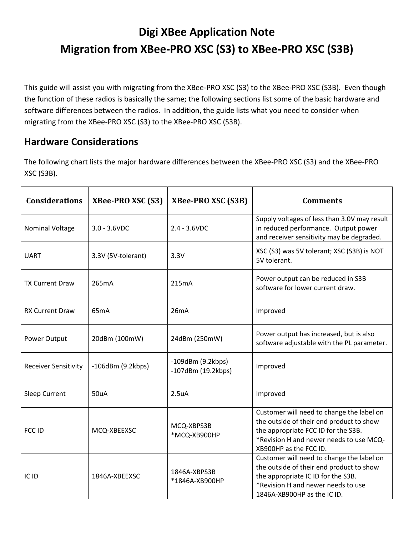## **Digi XBee Application Note Migration from XBee-PRO XSC (S3) to XBee-PRO XSC (S3B)**

This guide will assist you with migrating from the XBee-PRO XSC (S3) to the XBee-PRO XSC (S3B). Even though the function of these radios is basically the same; the following sections list some of the basic hardware and software differences between the radios. In addition, the guide lists what you need to consider when migrating from the XBee-PRO XSC (S3) to the XBee-PRO XSC (S3B).

## **Hardware Considerations**

The following chart lists the major hardware differences between the XBee-PRO XSC (S3) and the XBee-PRO XSC (S3B).

| <b>Considerations</b>       | <b>XBee-PRO XSC (S3)</b> | <b>XBee-PRO XSC (S3B)</b>                              | <b>Comments</b>                                                                                                                                                                                   |
|-----------------------------|--------------------------|--------------------------------------------------------|---------------------------------------------------------------------------------------------------------------------------------------------------------------------------------------------------|
| <b>Nominal Voltage</b>      | $3.0 - 3.6$ VDC          | $2.4 - 3.6$ VDC                                        | Supply voltages of less than 3.0V may result<br>in reduced performance. Output power<br>and receiver sensitivity may be degraded.                                                                 |
| <b>UART</b>                 | 3.3V (5V-tolerant)       | 3.3V                                                   | XSC (S3) was 5V tolerant; XSC (S3B) is NOT<br>5V tolerant.                                                                                                                                        |
| <b>TX Current Draw</b>      | 265mA                    | 215 <sub>m</sub> A                                     | Power output can be reduced in S3B<br>software for lower current draw.                                                                                                                            |
| <b>RX Current Draw</b>      | 65 <sub>m</sub> A        | 26mA                                                   | Improved                                                                                                                                                                                          |
| Power Output                | 20dBm (100mW)            | 24dBm (250mW)                                          | Power output has increased, but is also<br>software adjustable with the PL parameter.                                                                                                             |
| <b>Receiver Sensitivity</b> | $-106$ dBm $(9.2$ kbps)  | $-109$ dBm $(9.2$ kbps)<br>$-107$ dBm $(19.2$ kbps $)$ | Improved                                                                                                                                                                                          |
| <b>Sleep Current</b>        | 50uA                     | 2.5 <sub>u</sub> A                                     | Improved                                                                                                                                                                                          |
| FCC ID                      | MCQ-XBEEXSC              | MCQ-XBPS3B<br>*MCQ-XB900HP                             | Customer will need to change the label on<br>the outside of their end product to show<br>the appropriate FCC ID for the S3B.<br>*Revision H and newer needs to use MCQ-<br>XB900HP as the FCC ID. |
| IC ID                       | 1846A-XBEEXSC            | 1846A-XBPS3B<br>*1846A-XB900HP                         | Customer will need to change the label on<br>the outside of their end product to show<br>the appropriate IC ID for the S3B.<br>*Revision H and newer needs to use<br>1846A-XB900HP as the IC ID.  |